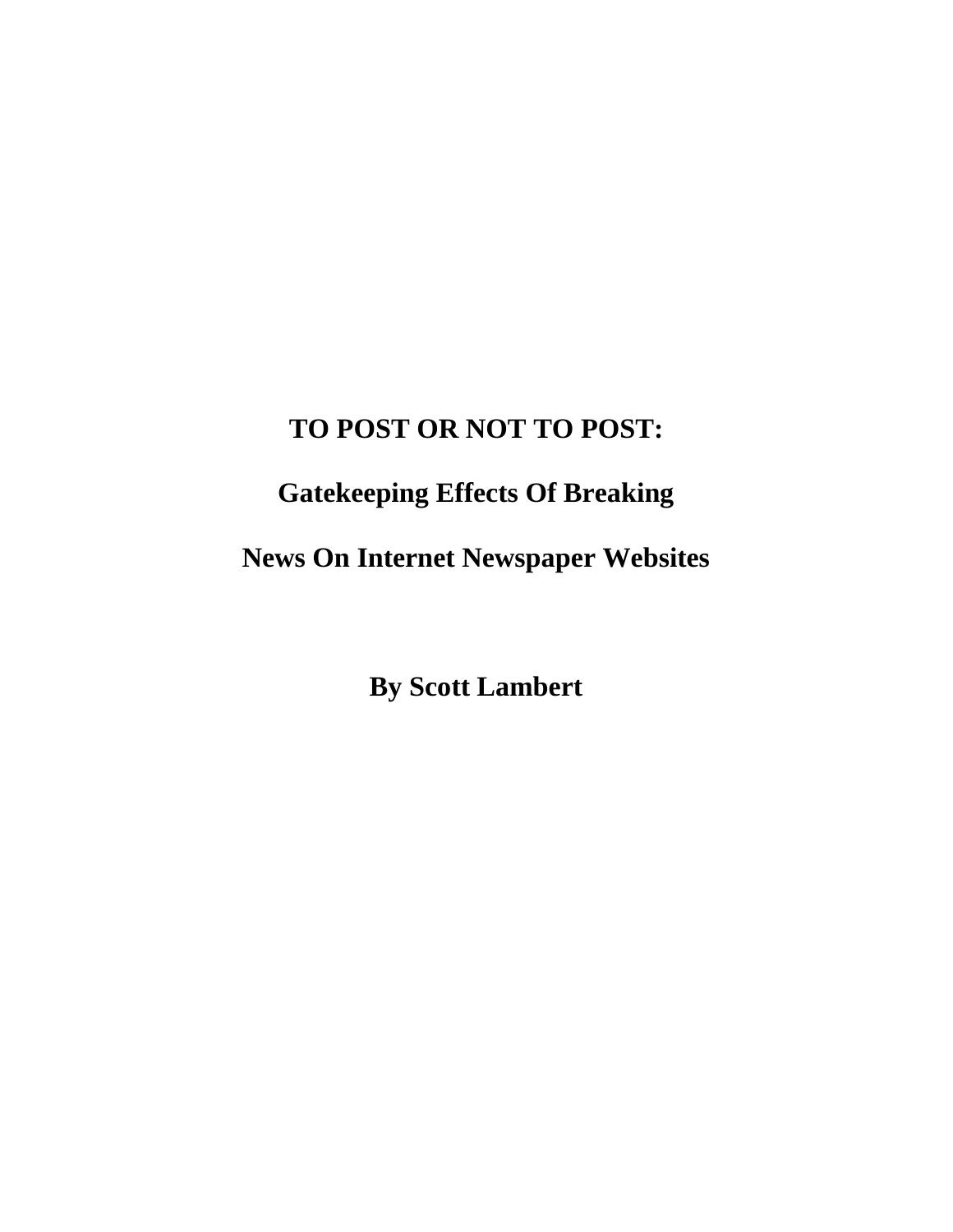### **TO POST OR NOT TO POST:**

# **Gatekeeping Effects Of Breaking**

**News On Internet Newspaper Websites** 

**By Scott Lambert**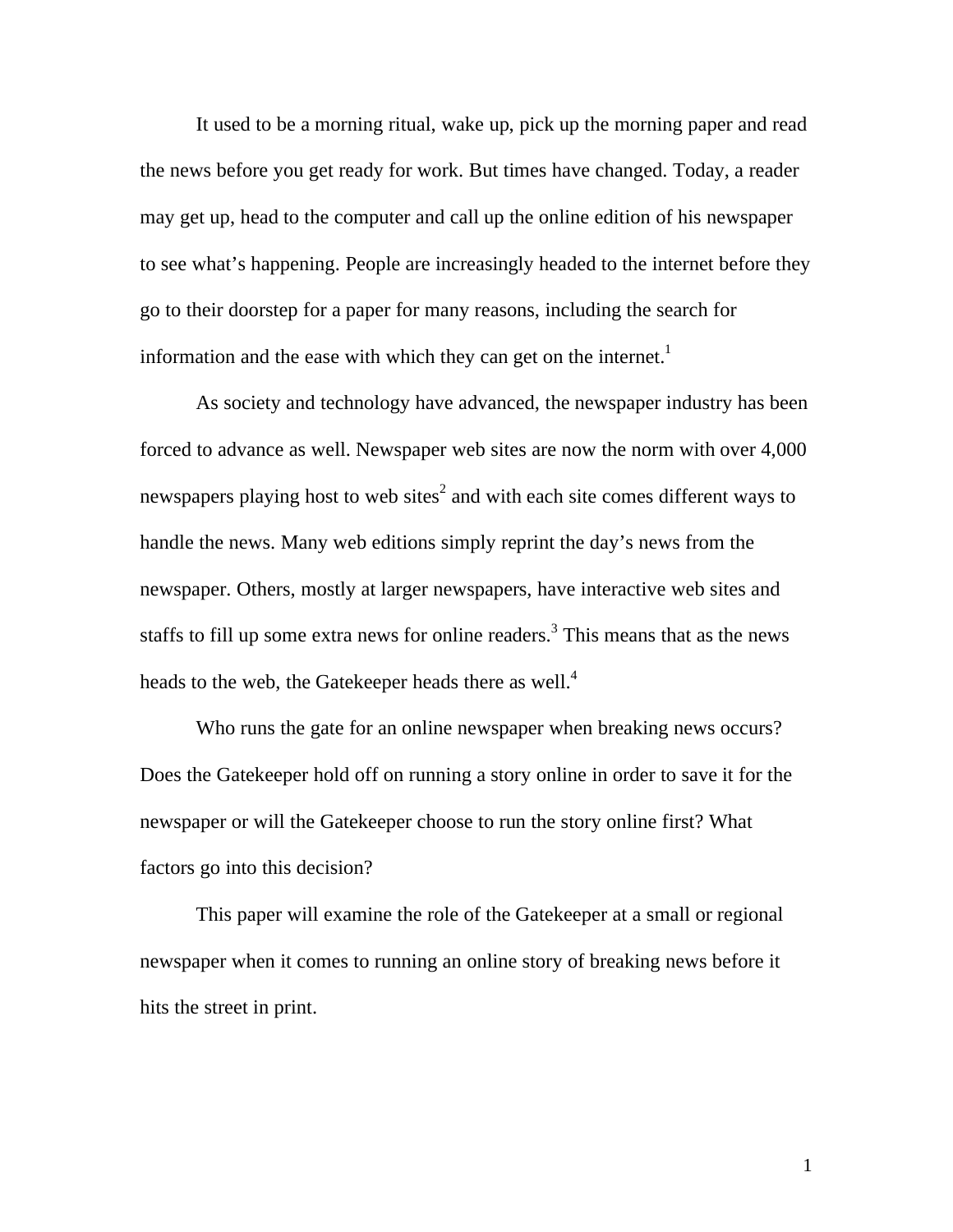It used to be a morning ritual, wake up, pick up the morning paper and read the news before you get ready for work. But times have changed. Today, a reader may get up, head to the computer and call up the online edition of his newspaper to see what's happening. People are increasingly headed to the internet before they go to their doorstep for a paper for many reasons, including the search for information and the ease with which they can get on the internet.<sup>1</sup>

 As society and technology have advanced, the newspaper industry has been forced to advance as well. Newspaper web sites are now the norm with over 4,000 newspapers playing host to web sites<sup>2</sup> and with each site comes different ways to handle the news. Many web editions simply reprint the day's news from the newspaper. Others, mostly at larger newspapers, have interactive web sites and staffs to fill up some extra news for online readers.<sup>3</sup> This means that as the news heads to the web, the Gatekeeper heads there as well.<sup>4</sup>

Who runs the gate for an online newspaper when breaking news occurs? Does the Gatekeeper hold off on running a story online in order to save it for the newspaper or will the Gatekeeper choose to run the story online first? What factors go into this decision?

 This paper will examine the role of the Gatekeeper at a small or regional newspaper when it comes to running an online story of breaking news before it hits the street in print.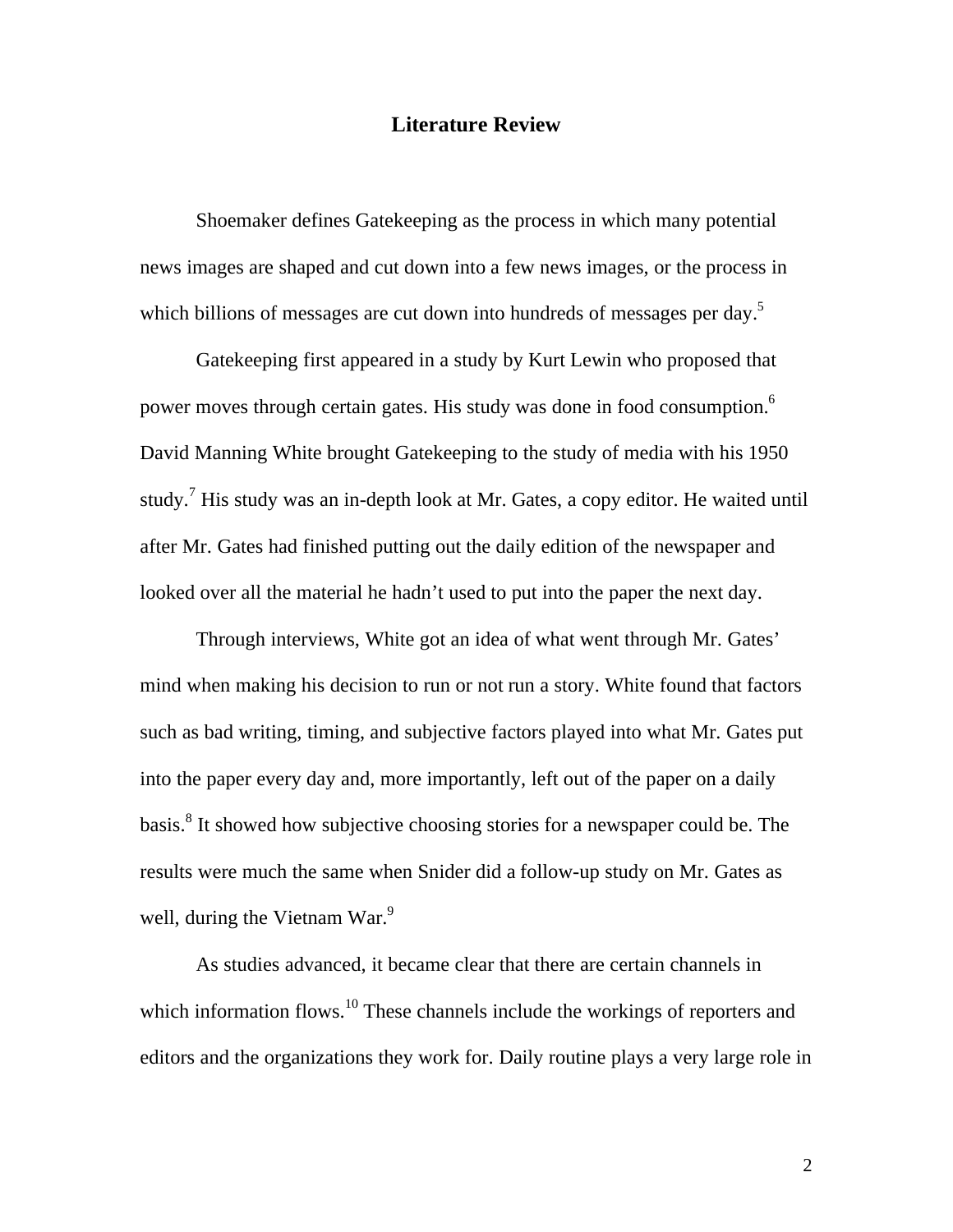#### **Literature Review**

 Shoemaker defines Gatekeeping as the process in which many potential news images are shaped and cut down into a few news images, or the process in which billions of messages are cut down into hundreds of messages per day.<sup>5</sup>

 Gatekeeping first appeared in a study by Kurt Lewin who proposed that power moves through certain gates. His study was done in food consumption.6 David Manning White brought Gatekeeping to the study of media with his 1950 study.<sup>7</sup> His study was an in-depth look at Mr. Gates, a copy editor. He waited until after Mr. Gates had finished putting out the daily edition of the newspaper and looked over all the material he hadn't used to put into the paper the next day.

 Through interviews, White got an idea of what went through Mr. Gates' mind when making his decision to run or not run a story. White found that factors such as bad writing, timing, and subjective factors played into what Mr. Gates put into the paper every day and, more importantly, left out of the paper on a daily basis.<sup>8</sup> It showed how subjective choosing stories for a newspaper could be. The results were much the same when Snider did a follow-up study on Mr. Gates as well, during the Vietnam War. $9$ 

 As studies advanced, it became clear that there are certain channels in which information flows.<sup>10</sup> These channels include the workings of reporters and editors and the organizations they work for. Daily routine plays a very large role in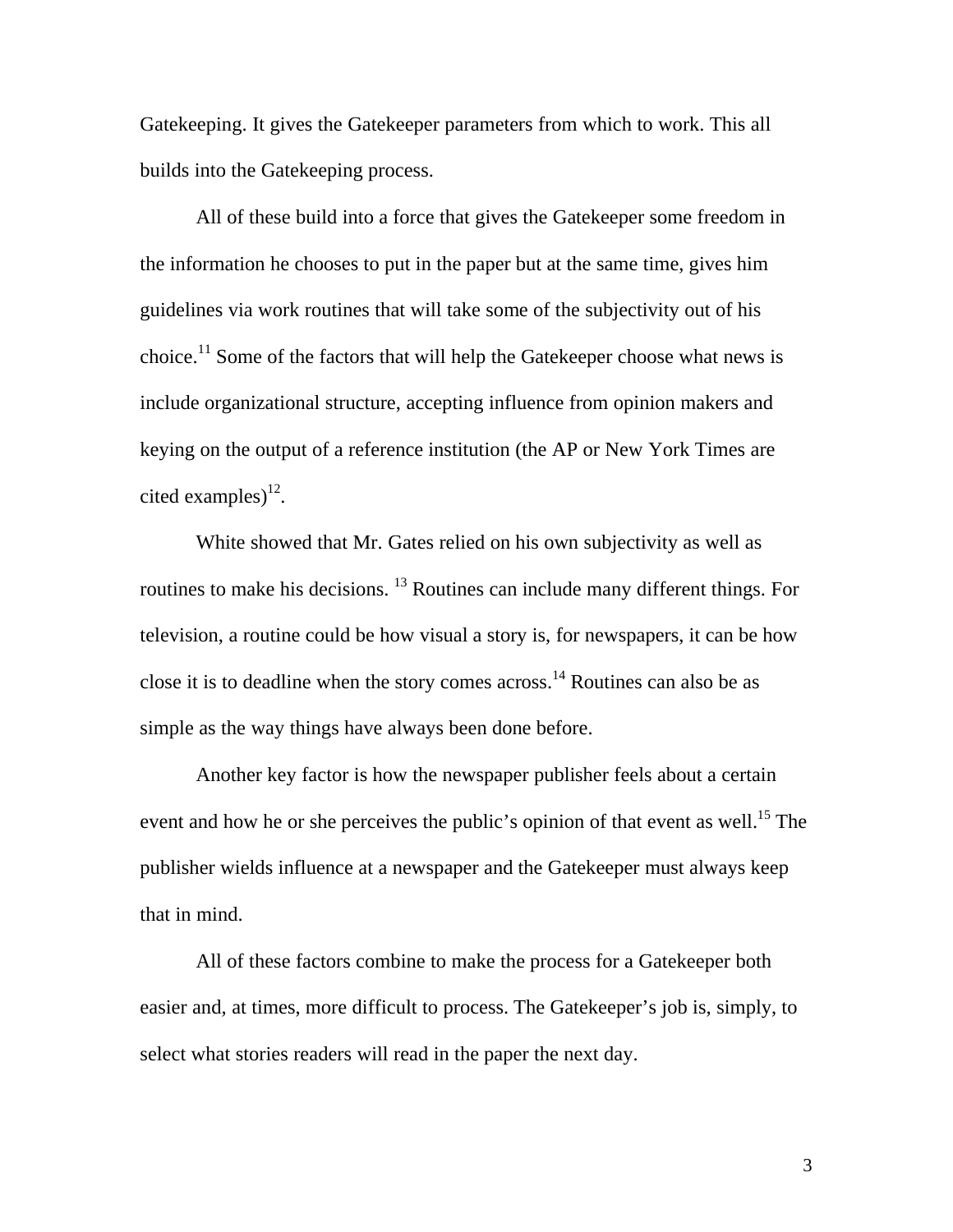Gatekeeping. It gives the Gatekeeper parameters from which to work. This all builds into the Gatekeeping process.

 All of these build into a force that gives the Gatekeeper some freedom in the information he chooses to put in the paper but at the same time, gives him guidelines via work routines that will take some of the subjectivity out of his choice.<sup>11</sup> Some of the factors that will help the Gatekeeper choose what news is include organizational structure, accepting influence from opinion makers and keying on the output of a reference institution (the AP or New York Times are cited examples) $^{12}$ .

 White showed that Mr. Gates relied on his own subjectivity as well as routines to make his decisions. <sup>13</sup> Routines can include many different things. For television, a routine could be how visual a story is, for newspapers, it can be how close it is to deadline when the story comes across.<sup>14</sup> Routines can also be as simple as the way things have always been done before.

 Another key factor is how the newspaper publisher feels about a certain event and how he or she perceives the public's opinion of that event as well.<sup>15</sup> The publisher wields influence at a newspaper and the Gatekeeper must always keep that in mind.

 All of these factors combine to make the process for a Gatekeeper both easier and, at times, more difficult to process. The Gatekeeper's job is, simply, to select what stories readers will read in the paper the next day.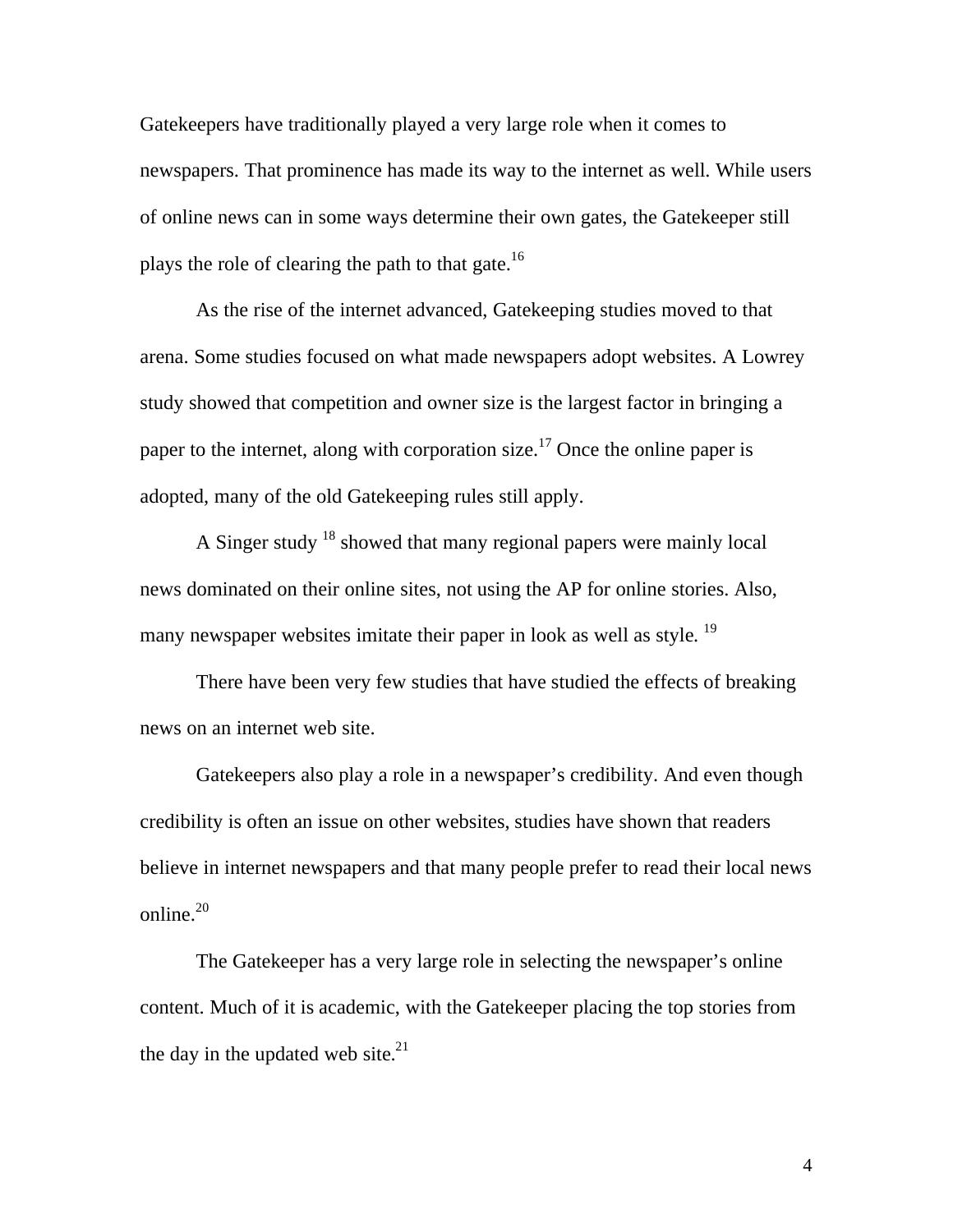Gatekeepers have traditionally played a very large role when it comes to newspapers. That prominence has made its way to the internet as well. While users of online news can in some ways determine their own gates, the Gatekeeper still plays the role of clearing the path to that gate.<sup>16</sup>

 As the rise of the internet advanced, Gatekeeping studies moved to that arena. Some studies focused on what made newspapers adopt websites. A Lowrey study showed that competition and owner size is the largest factor in bringing a paper to the internet, along with corporation size.<sup>17</sup> Once the online paper is adopted, many of the old Gatekeeping rules still apply.

 A Singer study 18 showed that many regional papers were mainly local news dominated on their online sites, not using the AP for online stories. Also, many newspaper websites imitate their paper in look as well as style.<sup>19</sup>

 There have been very few studies that have studied the effects of breaking news on an internet web site.

 Gatekeepers also play a role in a newspaper's credibility. And even though credibility is often an issue on other websites, studies have shown that readers believe in internet newspapers and that many people prefer to read their local news online. $20$ 

 The Gatekeeper has a very large role in selecting the newspaper's online content. Much of it is academic, with the Gatekeeper placing the top stories from the day in the updated web site. $21$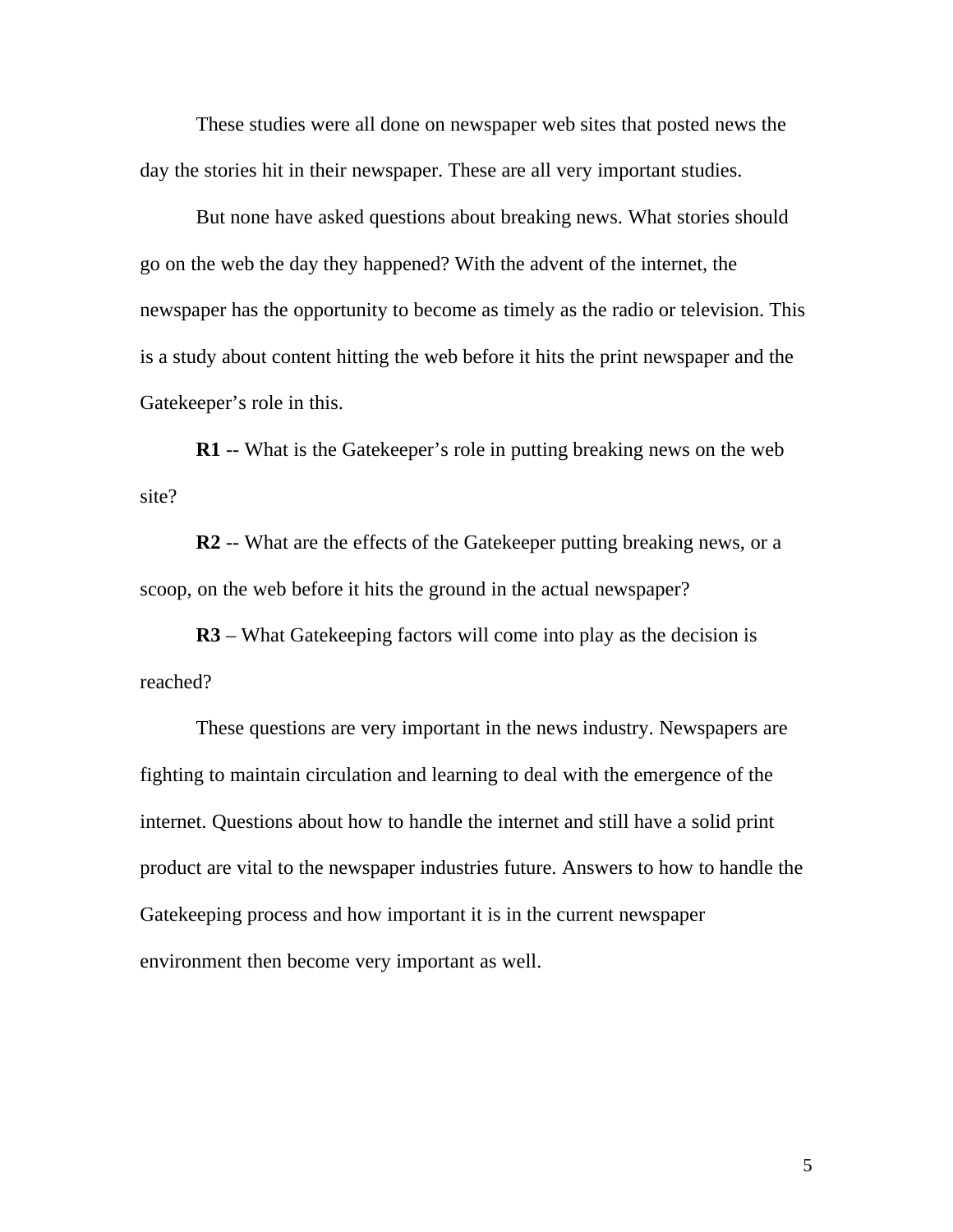These studies were all done on newspaper web sites that posted news the day the stories hit in their newspaper. These are all very important studies.

 But none have asked questions about breaking news. What stories should go on the web the day they happened? With the advent of the internet, the newspaper has the opportunity to become as timely as the radio or television. This is a study about content hitting the web before it hits the print newspaper and the Gatekeeper's role in this.

**R1** -- What is the Gatekeeper's role in putting breaking news on the web site?

**R2** -- What are the effects of the Gatekeeper putting breaking news, or a scoop, on the web before it hits the ground in the actual newspaper?

**R3** – What Gatekeeping factors will come into play as the decision is reached?

 These questions are very important in the news industry. Newspapers are fighting to maintain circulation and learning to deal with the emergence of the internet. Questions about how to handle the internet and still have a solid print product are vital to the newspaper industries future. Answers to how to handle the Gatekeeping process and how important it is in the current newspaper environment then become very important as well.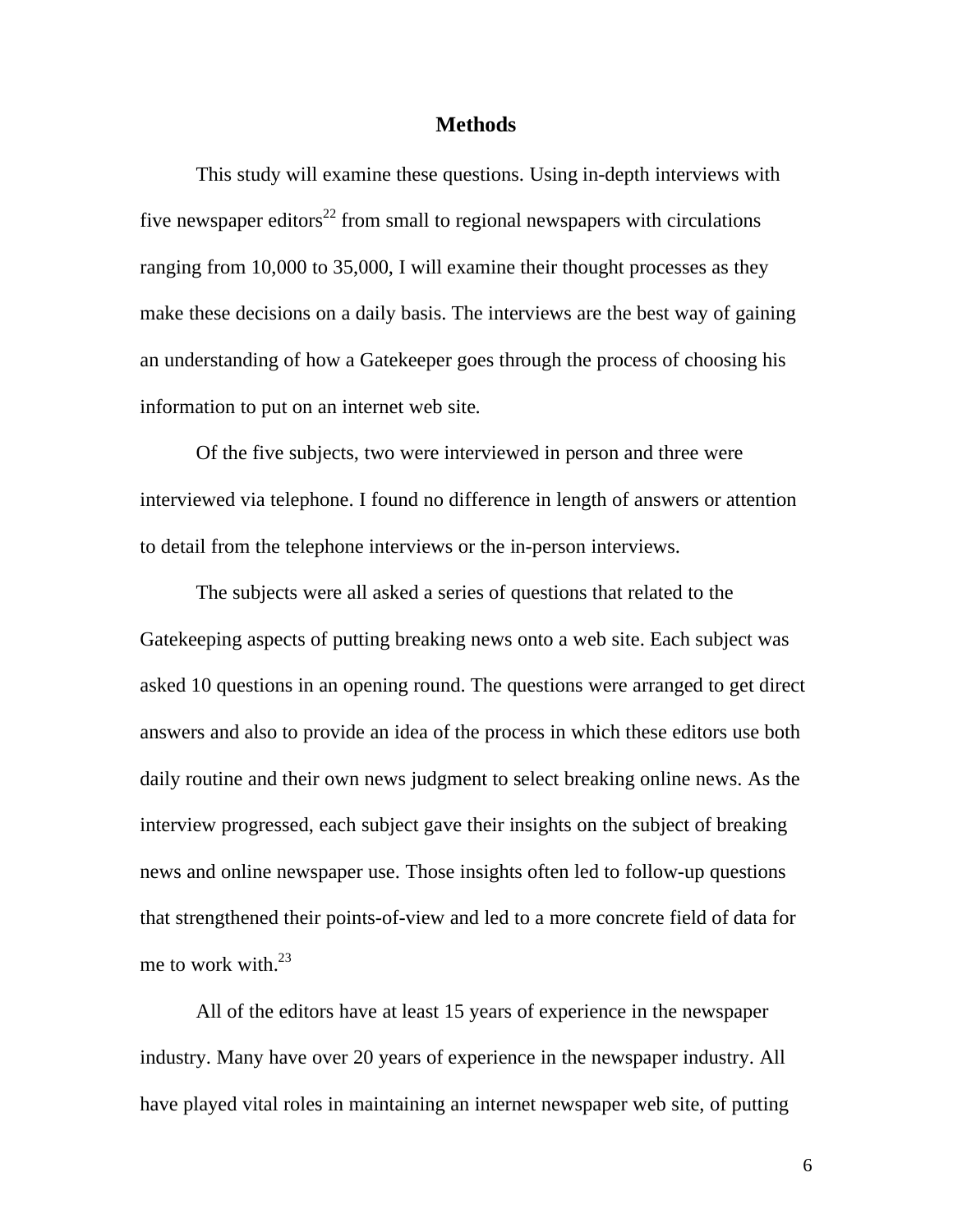#### **Methods**

 This study will examine these questions. Using in-depth interviews with five newspaper editors<sup>22</sup> from small to regional newspapers with circulations ranging from 10,000 to 35,000, I will examine their thought processes as they make these decisions on a daily basis. The interviews are the best way of gaining an understanding of how a Gatekeeper goes through the process of choosing his information to put on an internet web site.

 Of the five subjects, two were interviewed in person and three were interviewed via telephone. I found no difference in length of answers or attention to detail from the telephone interviews or the in-person interviews.

 The subjects were all asked a series of questions that related to the Gatekeeping aspects of putting breaking news onto a web site. Each subject was asked 10 questions in an opening round. The questions were arranged to get direct answers and also to provide an idea of the process in which these editors use both daily routine and their own news judgment to select breaking online news. As the interview progressed, each subject gave their insights on the subject of breaking news and online newspaper use. Those insights often led to follow-up questions that strengthened their points-of-view and led to a more concrete field of data for me to work with. $^{23}$ 

 All of the editors have at least 15 years of experience in the newspaper industry. Many have over 20 years of experience in the newspaper industry. All have played vital roles in maintaining an internet newspaper web site, of putting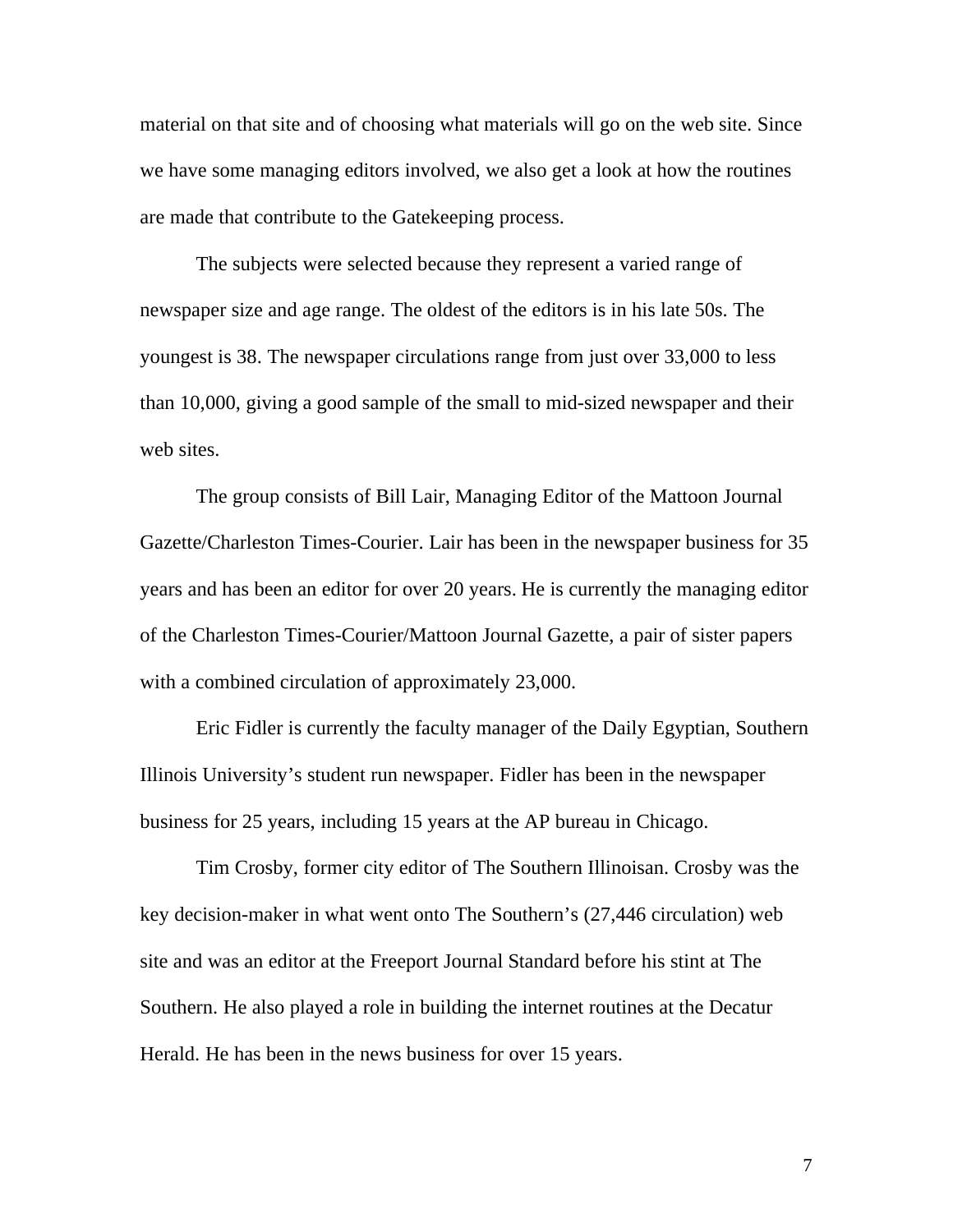material on that site and of choosing what materials will go on the web site. Since we have some managing editors involved, we also get a look at how the routines are made that contribute to the Gatekeeping process.

 The subjects were selected because they represent a varied range of newspaper size and age range. The oldest of the editors is in his late 50s. The youngest is 38. The newspaper circulations range from just over 33,000 to less than 10,000, giving a good sample of the small to mid-sized newspaper and their web sites.

 The group consists of Bill Lair, Managing Editor of the Mattoon Journal Gazette/Charleston Times-Courier. Lair has been in the newspaper business for 35 years and has been an editor for over 20 years. He is currently the managing editor of the Charleston Times-Courier/Mattoon Journal Gazette, a pair of sister papers with a combined circulation of approximately 23,000.

 Eric Fidler is currently the faculty manager of the Daily Egyptian, Southern Illinois University's student run newspaper. Fidler has been in the newspaper business for 25 years, including 15 years at the AP bureau in Chicago.

 Tim Crosby, former city editor of The Southern Illinoisan. Crosby was the key decision-maker in what went onto The Southern's (27,446 circulation) web site and was an editor at the Freeport Journal Standard before his stint at The Southern. He also played a role in building the internet routines at the Decatur Herald. He has been in the news business for over 15 years.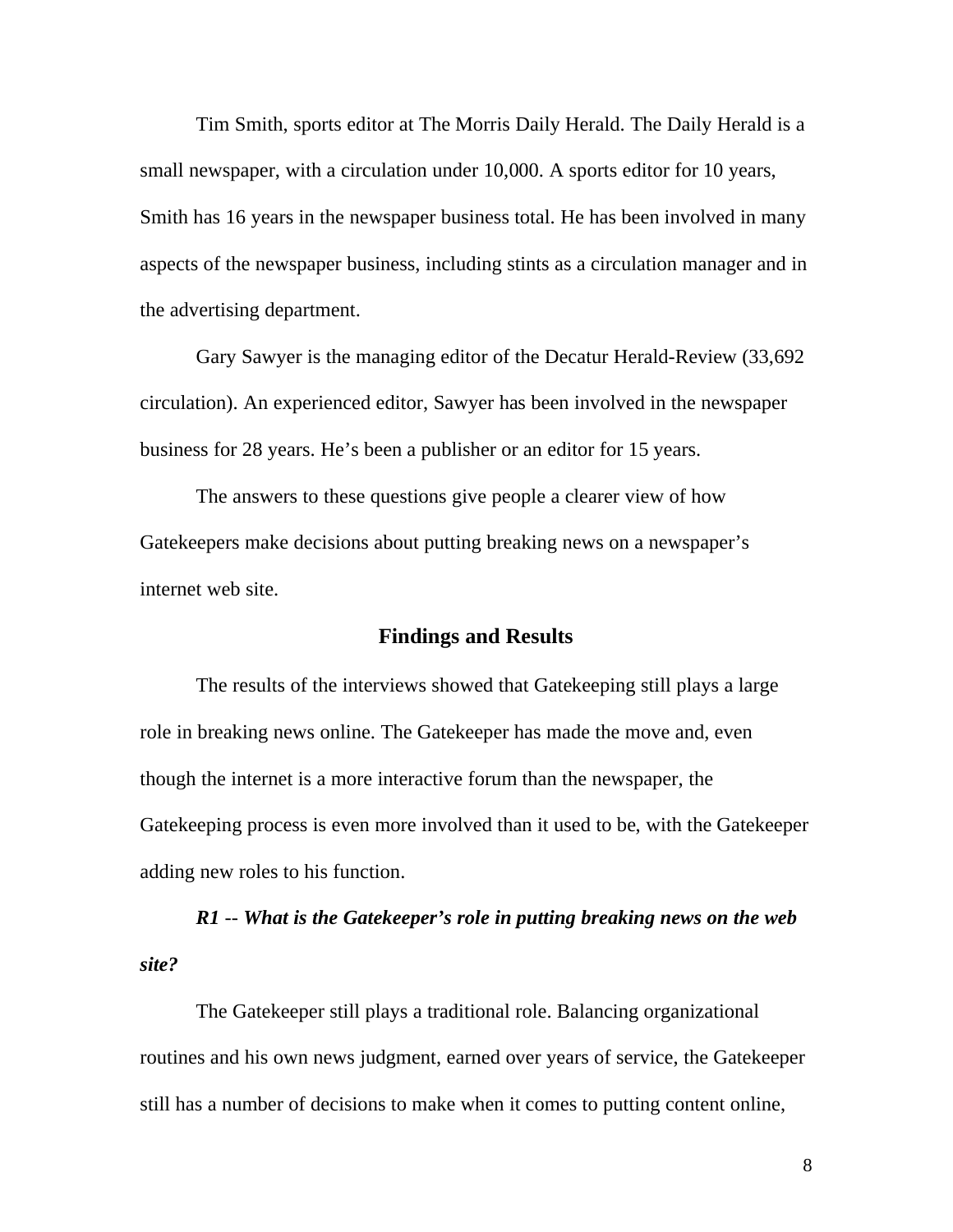Tim Smith, sports editor at The Morris Daily Herald. The Daily Herald is a small newspaper, with a circulation under 10,000. A sports editor for 10 years, Smith has 16 years in the newspaper business total. He has been involved in many aspects of the newspaper business, including stints as a circulation manager and in the advertising department.

 Gary Sawyer is the managing editor of the Decatur Herald-Review (33,692 circulation). An experienced editor, Sawyer has been involved in the newspaper business for 28 years. He's been a publisher or an editor for 15 years.

 The answers to these questions give people a clearer view of how Gatekeepers make decisions about putting breaking news on a newspaper's internet web site.

### **Findings and Results**

 The results of the interviews showed that Gatekeeping still plays a large role in breaking news online. The Gatekeeper has made the move and, even though the internet is a more interactive forum than the newspaper, the Gatekeeping process is even more involved than it used to be, with the Gatekeeper adding new roles to his function.

*R1 -- What is the Gatekeeper's role in putting breaking news on the web site?* 

 The Gatekeeper still plays a traditional role. Balancing organizational routines and his own news judgment, earned over years of service, the Gatekeeper still has a number of decisions to make when it comes to putting content online,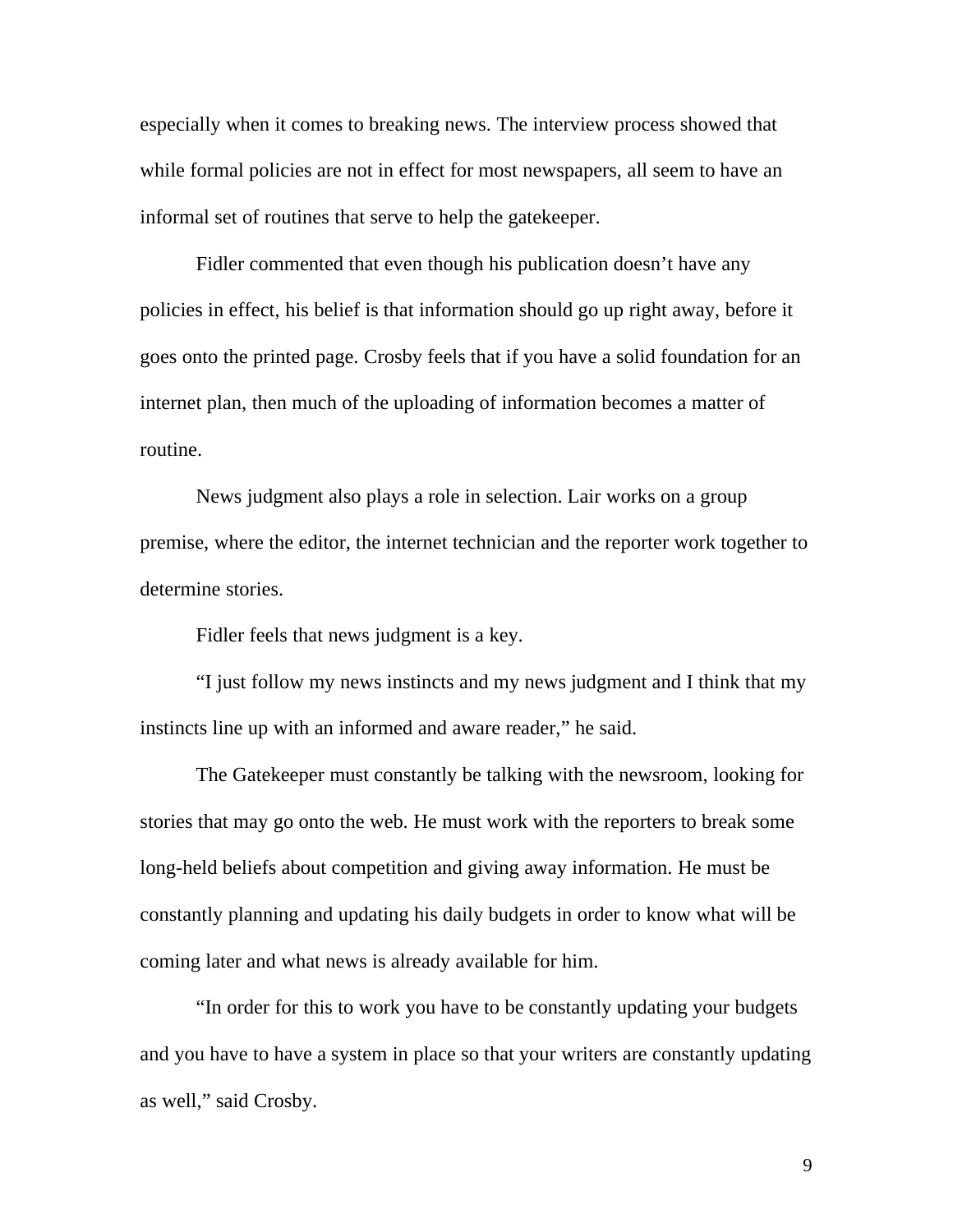especially when it comes to breaking news. The interview process showed that while formal policies are not in effect for most newspapers, all seem to have an informal set of routines that serve to help the gatekeeper.

 Fidler commented that even though his publication doesn't have any policies in effect, his belief is that information should go up right away, before it goes onto the printed page. Crosby feels that if you have a solid foundation for an internet plan, then much of the uploading of information becomes a matter of routine.

 News judgment also plays a role in selection. Lair works on a group premise, where the editor, the internet technician and the reporter work together to determine stories.

Fidler feels that news judgment is a key.

 "I just follow my news instincts and my news judgment and I think that my instincts line up with an informed and aware reader," he said.

 The Gatekeeper must constantly be talking with the newsroom, looking for stories that may go onto the web. He must work with the reporters to break some long-held beliefs about competition and giving away information. He must be constantly planning and updating his daily budgets in order to know what will be coming later and what news is already available for him.

 "In order for this to work you have to be constantly updating your budgets and you have to have a system in place so that your writers are constantly updating as well," said Crosby.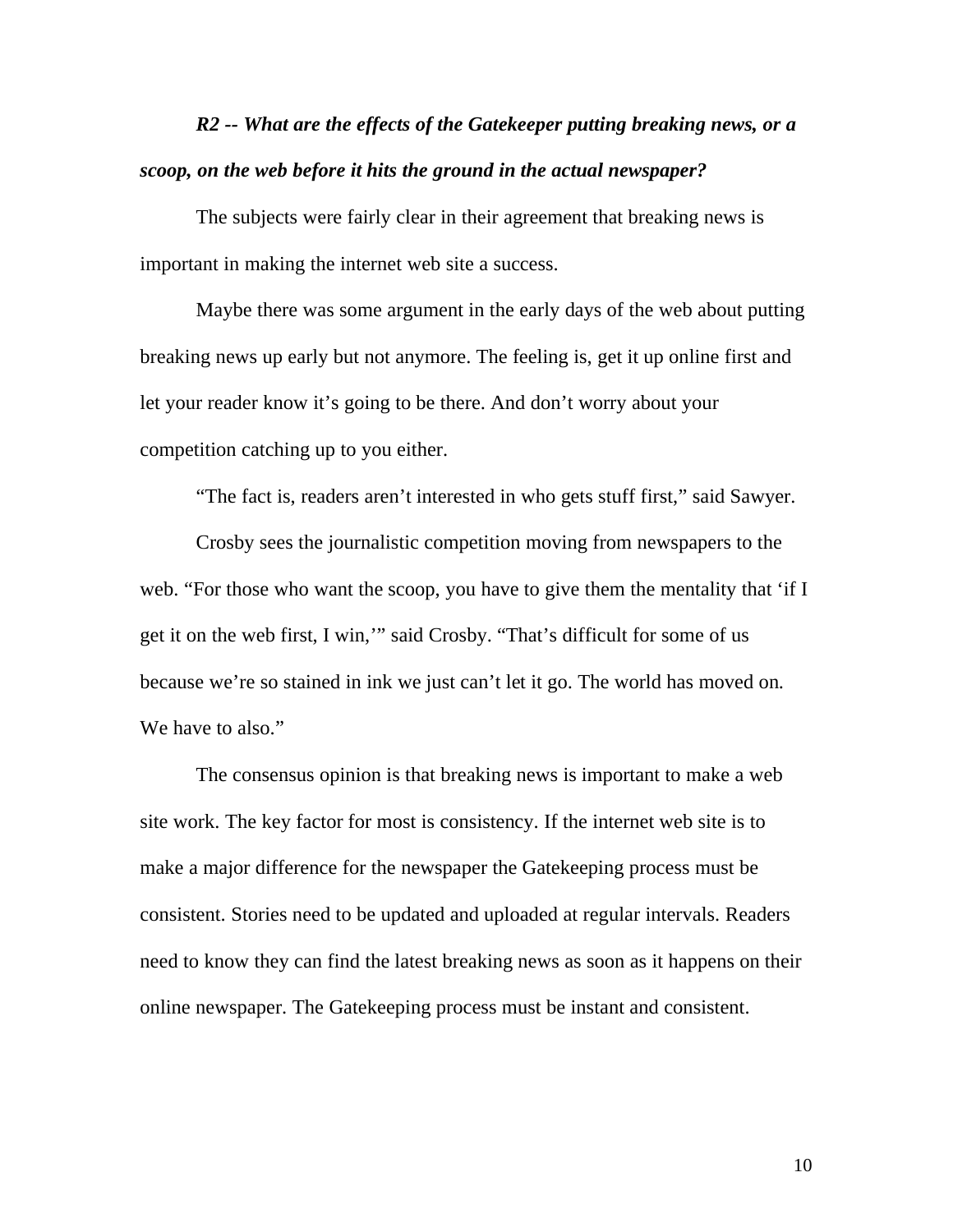## *R2 -- What are the effects of the Gatekeeper putting breaking news, or a scoop, on the web before it hits the ground in the actual newspaper?*

 The subjects were fairly clear in their agreement that breaking news is important in making the internet web site a success.

 Maybe there was some argument in the early days of the web about putting breaking news up early but not anymore. The feeling is, get it up online first and let your reader know it's going to be there. And don't worry about your competition catching up to you either.

"The fact is, readers aren't interested in who gets stuff first," said Sawyer.

 Crosby sees the journalistic competition moving from newspapers to the web. "For those who want the scoop, you have to give them the mentality that 'if I get it on the web first, I win,'" said Crosby. "That's difficult for some of us because we're so stained in ink we just can't let it go. The world has moved on. We have to also."

 The consensus opinion is that breaking news is important to make a web site work. The key factor for most is consistency. If the internet web site is to make a major difference for the newspaper the Gatekeeping process must be consistent. Stories need to be updated and uploaded at regular intervals. Readers need to know they can find the latest breaking news as soon as it happens on their online newspaper. The Gatekeeping process must be instant and consistent.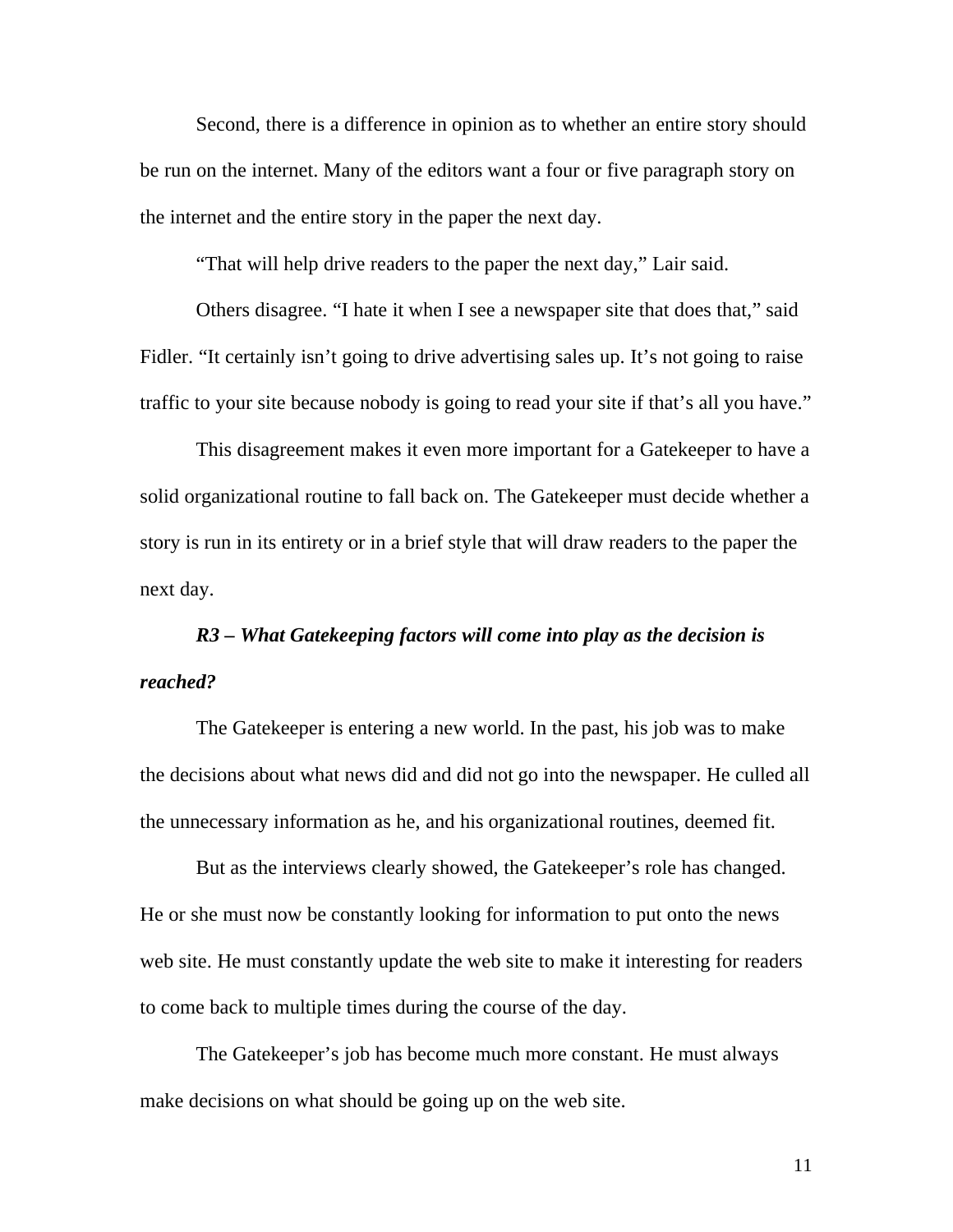Second, there is a difference in opinion as to whether an entire story should be run on the internet. Many of the editors want a four or five paragraph story on the internet and the entire story in the paper the next day.

"That will help drive readers to the paper the next day," Lair said.

 Others disagree. "I hate it when I see a newspaper site that does that," said Fidler. "It certainly isn't going to drive advertising sales up. It's not going to raise traffic to your site because nobody is going to read your site if that's all you have."

 This disagreement makes it even more important for a Gatekeeper to have a solid organizational routine to fall back on. The Gatekeeper must decide whether a story is run in its entirety or in a brief style that will draw readers to the paper the next day.

### *R3 – What Gatekeeping factors will come into play as the decision is reached?*

 The Gatekeeper is entering a new world. In the past, his job was to make the decisions about what news did and did not go into the newspaper. He culled all the unnecessary information as he, and his organizational routines, deemed fit.

 But as the interviews clearly showed, the Gatekeeper's role has changed. He or she must now be constantly looking for information to put onto the news web site. He must constantly update the web site to make it interesting for readers to come back to multiple times during the course of the day.

 The Gatekeeper's job has become much more constant. He must always make decisions on what should be going up on the web site.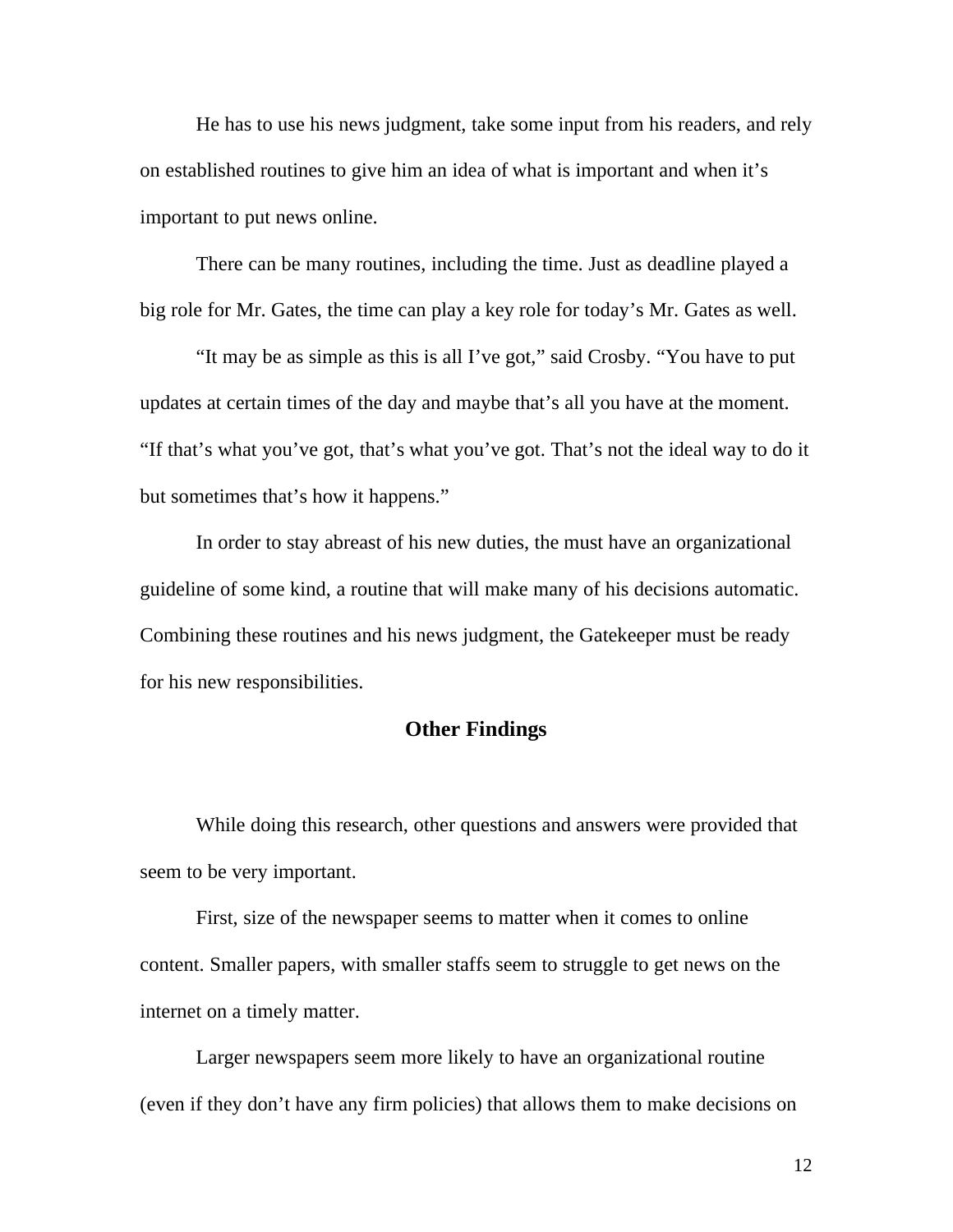He has to use his news judgment, take some input from his readers, and rely on established routines to give him an idea of what is important and when it's important to put news online.

 There can be many routines, including the time. Just as deadline played a big role for Mr. Gates, the time can play a key role for today's Mr. Gates as well.

 "It may be as simple as this is all I've got," said Crosby. "You have to put updates at certain times of the day and maybe that's all you have at the moment. "If that's what you've got, that's what you've got. That's not the ideal way to do it but sometimes that's how it happens."

 In order to stay abreast of his new duties, the must have an organizational guideline of some kind, a routine that will make many of his decisions automatic. Combining these routines and his news judgment, the Gatekeeper must be ready for his new responsibilities.

### **Other Findings**

 While doing this research, other questions and answers were provided that seem to be very important.

 First, size of the newspaper seems to matter when it comes to online content. Smaller papers, with smaller staffs seem to struggle to get news on the internet on a timely matter.

 Larger newspapers seem more likely to have an organizational routine (even if they don't have any firm policies) that allows them to make decisions on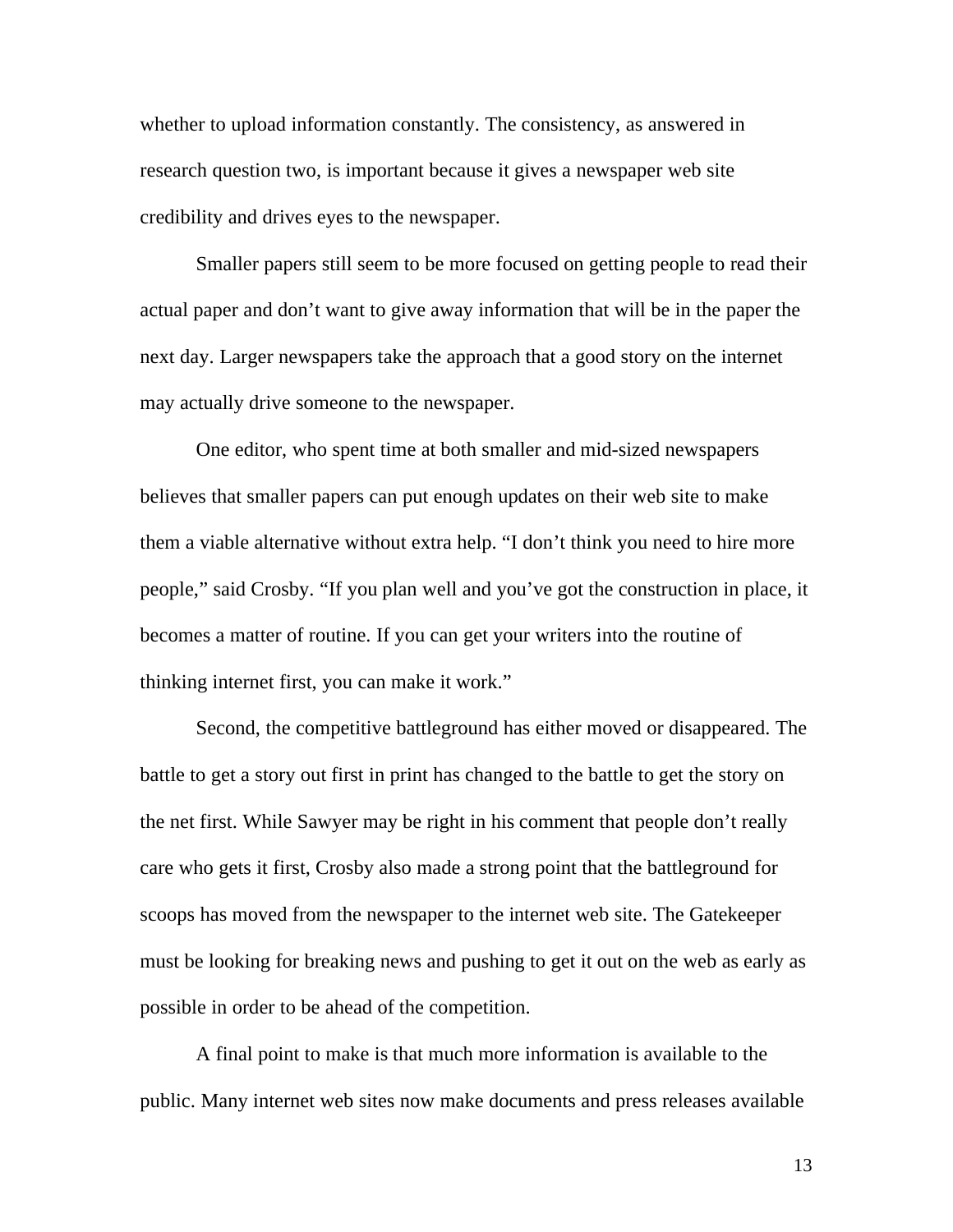whether to upload information constantly. The consistency, as answered in research question two, is important because it gives a newspaper web site credibility and drives eyes to the newspaper.

 Smaller papers still seem to be more focused on getting people to read their actual paper and don't want to give away information that will be in the paper the next day. Larger newspapers take the approach that a good story on the internet may actually drive someone to the newspaper.

 One editor, who spent time at both smaller and mid-sized newspapers believes that smaller papers can put enough updates on their web site to make them a viable alternative without extra help. "I don't think you need to hire more people," said Crosby. "If you plan well and you've got the construction in place, it becomes a matter of routine. If you can get your writers into the routine of thinking internet first, you can make it work."

 Second, the competitive battleground has either moved or disappeared. The battle to get a story out first in print has changed to the battle to get the story on the net first. While Sawyer may be right in his comment that people don't really care who gets it first, Crosby also made a strong point that the battleground for scoops has moved from the newspaper to the internet web site. The Gatekeeper must be looking for breaking news and pushing to get it out on the web as early as possible in order to be ahead of the competition.

 A final point to make is that much more information is available to the public. Many internet web sites now make documents and press releases available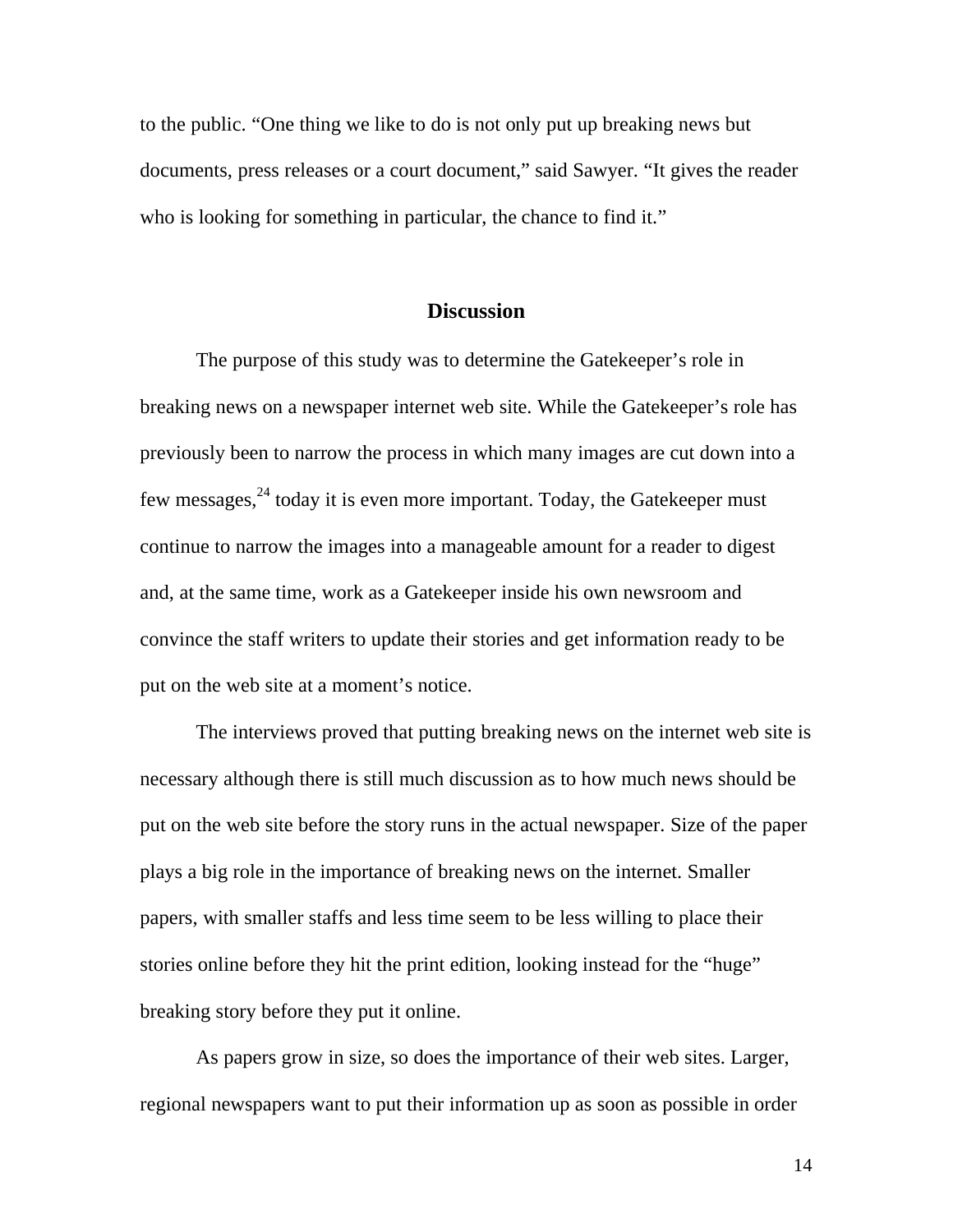to the public. "One thing we like to do is not only put up breaking news but documents, press releases or a court document," said Sawyer. "It gives the reader who is looking for something in particular, the chance to find it."

#### **Discussion**

 The purpose of this study was to determine the Gatekeeper's role in breaking news on a newspaper internet web site. While the Gatekeeper's role has previously been to narrow the process in which many images are cut down into a few messages, $^{24}$  today it is even more important. Today, the Gatekeeper must continue to narrow the images into a manageable amount for a reader to digest and, at the same time, work as a Gatekeeper inside his own newsroom and convince the staff writers to update their stories and get information ready to be put on the web site at a moment's notice.

 The interviews proved that putting breaking news on the internet web site is necessary although there is still much discussion as to how much news should be put on the web site before the story runs in the actual newspaper. Size of the paper plays a big role in the importance of breaking news on the internet. Smaller papers, with smaller staffs and less time seem to be less willing to place their stories online before they hit the print edition, looking instead for the "huge" breaking story before they put it online.

 As papers grow in size, so does the importance of their web sites. Larger, regional newspapers want to put their information up as soon as possible in order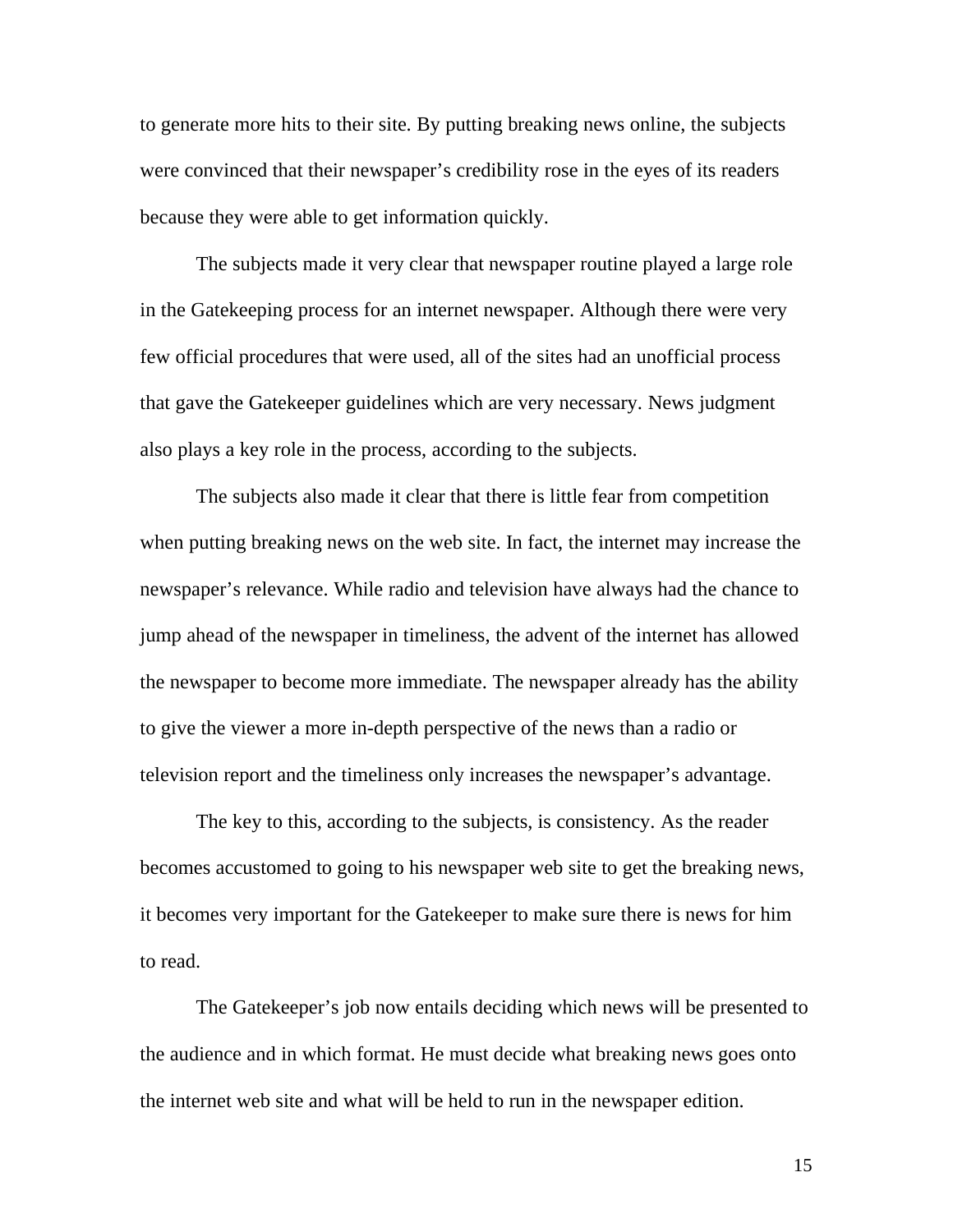to generate more hits to their site. By putting breaking news online, the subjects were convinced that their newspaper's credibility rose in the eyes of its readers because they were able to get information quickly.

 The subjects made it very clear that newspaper routine played a large role in the Gatekeeping process for an internet newspaper. Although there were very few official procedures that were used, all of the sites had an unofficial process that gave the Gatekeeper guidelines which are very necessary. News judgment also plays a key role in the process, according to the subjects.

 The subjects also made it clear that there is little fear from competition when putting breaking news on the web site. In fact, the internet may increase the newspaper's relevance. While radio and television have always had the chance to jump ahead of the newspaper in timeliness, the advent of the internet has allowed the newspaper to become more immediate. The newspaper already has the ability to give the viewer a more in-depth perspective of the news than a radio or television report and the timeliness only increases the newspaper's advantage.

 The key to this, according to the subjects, is consistency. As the reader becomes accustomed to going to his newspaper web site to get the breaking news, it becomes very important for the Gatekeeper to make sure there is news for him to read.

 The Gatekeeper's job now entails deciding which news will be presented to the audience and in which format. He must decide what breaking news goes onto the internet web site and what will be held to run in the newspaper edition.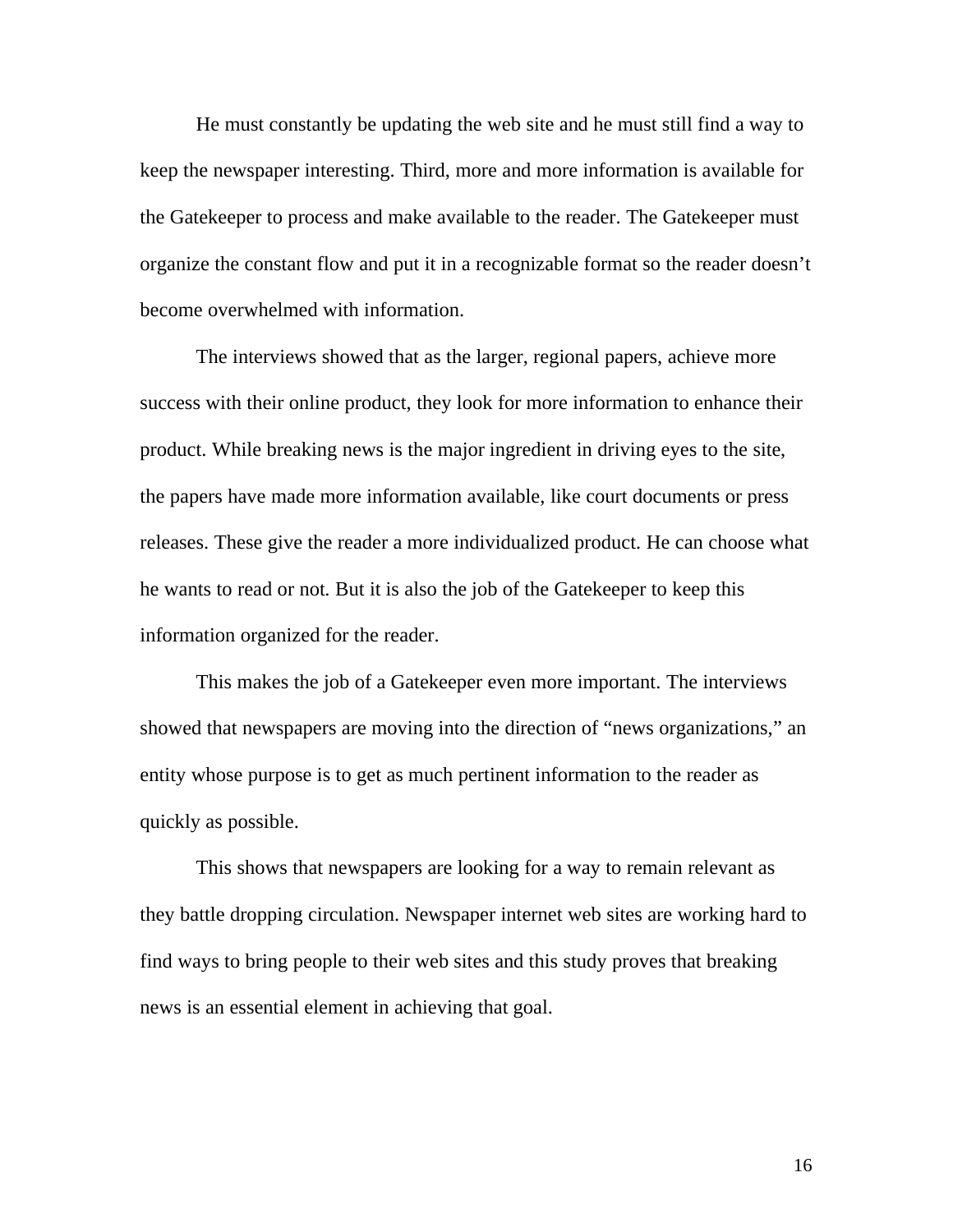He must constantly be updating the web site and he must still find a way to keep the newspaper interesting. Third, more and more information is available for the Gatekeeper to process and make available to the reader. The Gatekeeper must organize the constant flow and put it in a recognizable format so the reader doesn't become overwhelmed with information.

 The interviews showed that as the larger, regional papers, achieve more success with their online product, they look for more information to enhance their product. While breaking news is the major ingredient in driving eyes to the site, the papers have made more information available, like court documents or press releases. These give the reader a more individualized product. He can choose what he wants to read or not. But it is also the job of the Gatekeeper to keep this information organized for the reader.

 This makes the job of a Gatekeeper even more important. The interviews showed that newspapers are moving into the direction of "news organizations," an entity whose purpose is to get as much pertinent information to the reader as quickly as possible.

 This shows that newspapers are looking for a way to remain relevant as they battle dropping circulation. Newspaper internet web sites are working hard to find ways to bring people to their web sites and this study proves that breaking news is an essential element in achieving that goal.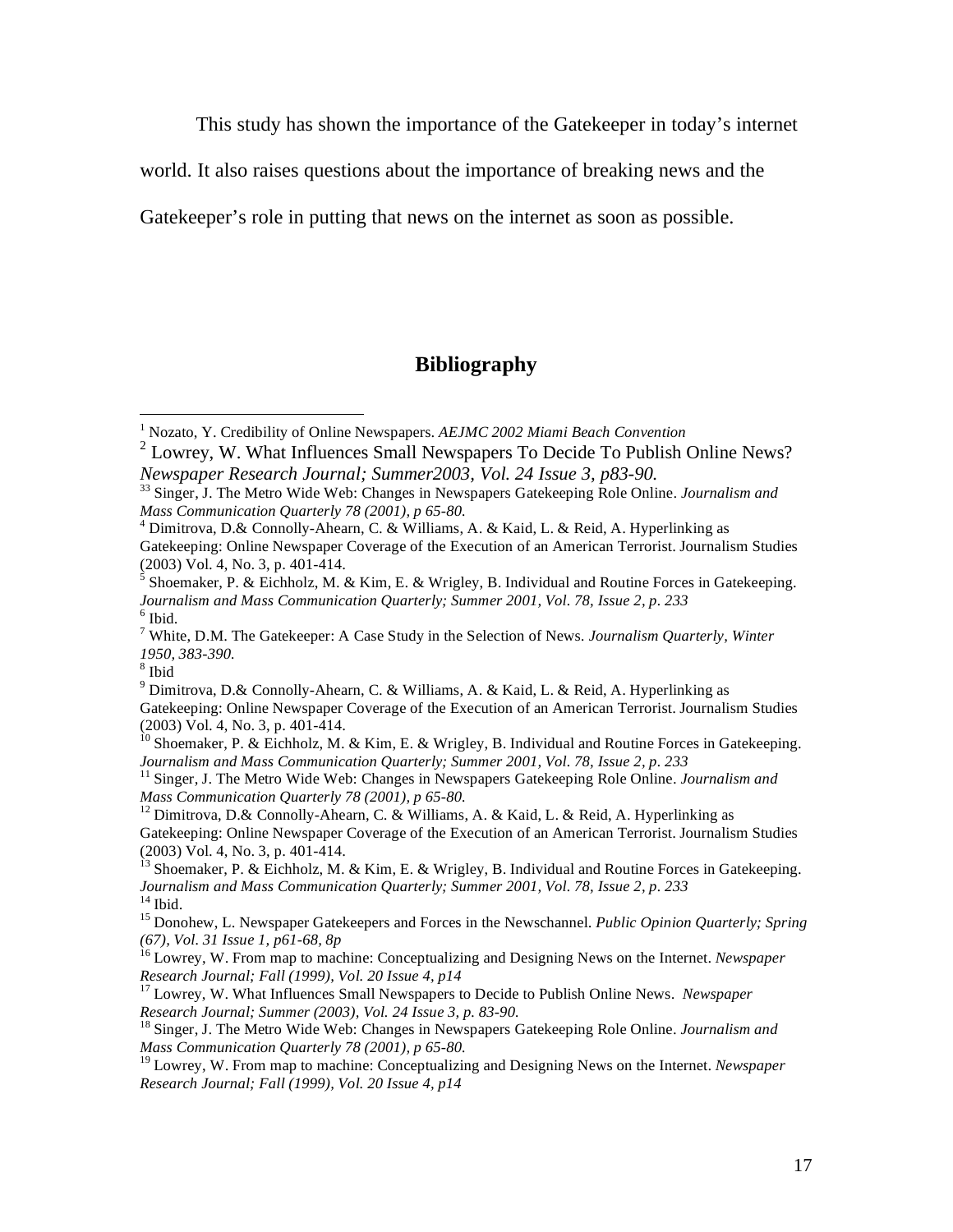This study has shown the importance of the Gatekeeper in today's internet

world. It also raises questions about the importance of breaking news and the

Gatekeeper's role in putting that news on the internet as soon as possible.

### **Bibliography**

8 Ibid

<sup>9</sup> Dimitrova, D.& Connolly-Ahearn, C. & Williams, A. & Kaid, L. & Reid, A. Hyperlinking as Gatekeeping: Online Newspaper Coverage of the Execution of an American Terrorist. Journalism Studies (2003) Vol. 4, No. 3, p. 401-414.

<sup>10</sup> Shoemaker, P. & Eichholz, M. & Kim, E. & Wrigley, B. Individual and Routine Forces in Gatekeeping. *Journalism and Mass Communication Quarterly; Summer 2001, Vol. 78, Issue 2, p. 233*

<sup>11</sup> Singer, J. The Metro Wide Web: Changes in Newspapers Gatekeeping Role Online. *Journalism and Mass Communication Quarterly 78 (2001), p 65-80.* 

<sup>12</sup> Dimitrova, D.& Connolly-Ahearn, C. & Williams, A. & Kaid, L. & Reid, A. Hyperlinking as Gatekeeping: Online Newspaper Coverage of the Execution of an American Terrorist. Journalism Studies (2003) Vol. 4, No. 3, p. 401-414.

 $^{13}$  Shoemaker, P. & Eichholz, M. & Kim, E. & Wrigley, B. Individual and Routine Forces in Gatekeeping. *Journalism and Mass Communication Quarterly; Summer 2001, Vol. 78, Issue 2, p. 233*  $^{14}$  Ibid.

15 Donohew, L. Newspaper Gatekeepers and Forces in the Newschannel. *Public Opinion Quarterly; Spring (67), Vol. 31 Issue 1, p61-68, 8p* 

16 Lowrey, W. From map to machine: Conceptualizing and Designing News on the Internet. *Newspaper Research Journal; Fall (1999), Vol. 20 Issue 4, p14* 

17 Lowrey, W. What Influences Small Newspapers to Decide to Publish Online News. *Newspaper Research Journal; Summer (2003), Vol. 24 Issue 3, p. 83-90.* 

18 Singer, J. The Metro Wide Web: Changes in Newspapers Gatekeeping Role Online. *Journalism and Mass Communication Quarterly 78 (2001), p 65-80.* 

19 Lowrey, W. From map to machine: Conceptualizing and Designing News on the Internet. *Newspaper Research Journal; Fall (1999), Vol. 20 Issue 4, p14* 

 1 Nozato, Y. Credibility of Online Newspapers. *AEJMC 2002 Miami Beach Convention*

 $2$  Lowrey, W. What Influences Small Newspapers To Decide To Publish Online News? *Newspaper Research Journal; Summer2003, Vol. 24 Issue 3, p83-90.* 

<sup>33</sup> Singer, J. The Metro Wide Web: Changes in Newspapers Gatekeeping Role Online. *Journalism and Mass Communication Quarterly 78 (2001), p 65-80.* 

<sup>&</sup>lt;sup>4</sup> Dimitrova, D.& Connolly-Ahearn, C. & Williams, A. & Kaid, L. & Reid, A. Hyperlinking as Gatekeeping: Online Newspaper Coverage of the Execution of an American Terrorist. Journalism Studies (2003) Vol. 4, No. 3, p. 401-414.

 $<sup>5</sup>$  Shoemaker, P. & Eichholz, M. & Kim, E. & Wrigley, B. Individual and Routine Forces in Gatekeeping.</sup> *Journalism and Mass Communication Quarterly; Summer 2001, Vol. 78, Issue 2, p. 233* 6 Ibid.

<sup>7</sup> White, D.M. The Gatekeeper: A Case Study in the Selection of News*. Journalism Quarterly, Winter 1950, 383-390.*